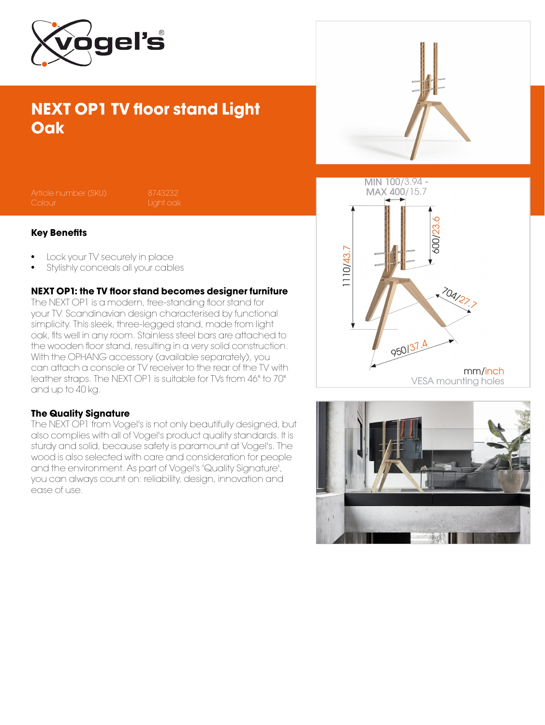

## NEXT OP1 TV floor stand Light **Oak**



#### Key Benefits

- Lock your TV securely in place
- Stylishly conceals all your cables

### NEXT OP1: the TV floor stand becomes designer furniture

The NEXT OP1 is a modern, free-standing floor stand for your TV. Scandinavian design characterised by functional simplicity. This sleek, three-legged stand, made from light oak, fits well in any room. Stainless steel bars are attached to the wooden floor stand, resulting in a very solid construction. With the OPHANG accessory (available separately), you can attach a console or TV receiver to the rear of the TV with leather straps. The NEXT OP1 is suitable for TVs from 46" to 70" and up to 40 kg.

#### The Quality Signature

The NEXT OP1 from Vogel's is not only beautifully designed, but also complies with all of Vogel's product quality standards. It is sturdy and solid, because safety is paramount at Vogel's. The wood is also selected with care and consideration for people and the environment. As part of Vogel's 'Quality Signature', you can always count on: reliability, design, innovation and ease of use.